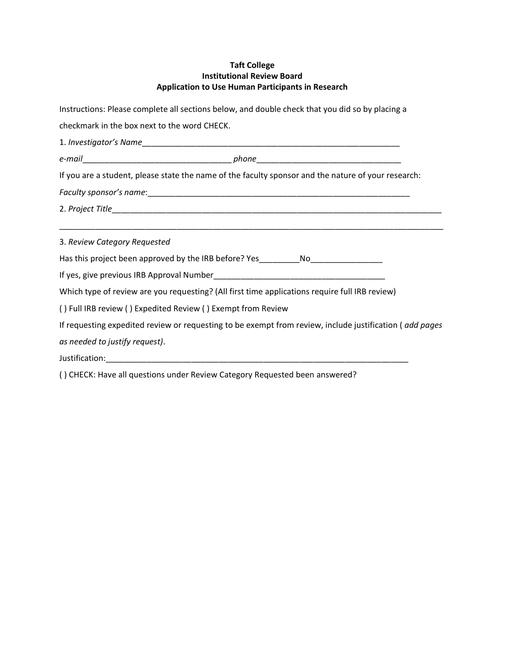## **Taft College Institutional Review Board Application to Use Human Participants in Research**

| Instructions: Please complete all sections below, and double check that you did so by placing a         |  |  |  |
|---------------------------------------------------------------------------------------------------------|--|--|--|
| checkmark in the box next to the word CHECK.                                                            |  |  |  |
|                                                                                                         |  |  |  |
|                                                                                                         |  |  |  |
| If you are a student, please state the name of the faculty sponsor and the nature of your research:     |  |  |  |
|                                                                                                         |  |  |  |
|                                                                                                         |  |  |  |
| 3. Review Category Requested                                                                            |  |  |  |
| Has this project been approved by the IRB before? Yes____________No______________                       |  |  |  |
|                                                                                                         |  |  |  |
| Which type of review are you requesting? (All first time applications require full IRB review)          |  |  |  |
| () Full IRB review () Expedited Review () Exempt from Review                                            |  |  |  |
| If requesting expedited review or requesting to be exempt from review, include justification (add pages |  |  |  |
| as needed to justify request).                                                                          |  |  |  |
|                                                                                                         |  |  |  |
|                                                                                                         |  |  |  |

( ) CHECK: Have all questions under Review Category Requested been answered?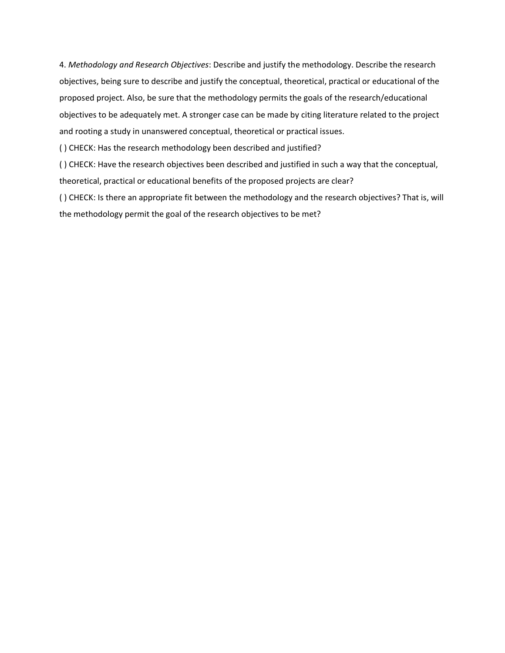4. *Methodology and Research Objectives*: Describe and justify the methodology. Describe the research objectives, being sure to describe and justify the conceptual, theoretical, practical or educational of the proposed project. Also, be sure that the methodology permits the goals of the research/educational objectives to be adequately met. A stronger case can be made by citing literature related to the project and rooting a study in unanswered conceptual, theoretical or practical issues.

( ) CHECK: Has the research methodology been described and justified?

( ) CHECK: Have the research objectives been described and justified in such a way that the conceptual, theoretical, practical or educational benefits of the proposed projects are clear?

( ) CHECK: Is there an appropriate fit between the methodology and the research objectives? That is, will the methodology permit the goal of the research objectives to be met?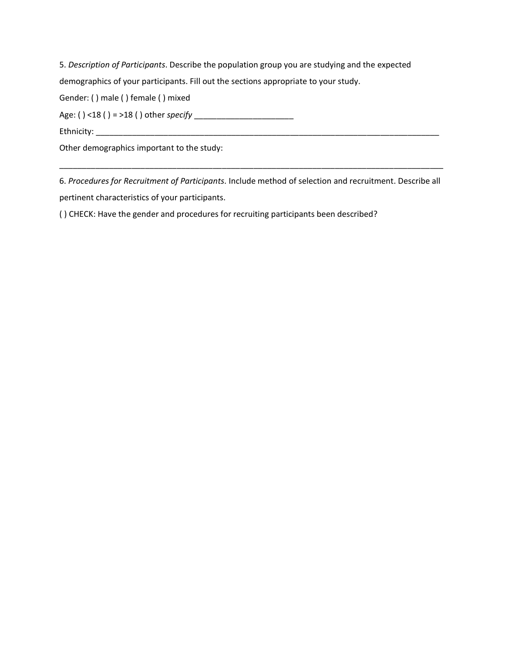5. *Description of Participants*. Describe the population group you are studying and the expected

demographics of your participants. Fill out the sections appropriate to your study.

Gender: ( ) male ( ) female ( ) mixed

Age: ( ) <18 ( ) = >18 ( ) other *specify* \_\_\_\_\_\_\_\_\_\_\_\_\_\_\_\_\_\_\_\_\_\_

Ethnicity: \_\_\_\_\_\_\_\_\_\_\_\_\_\_\_\_\_\_\_\_\_\_\_\_\_\_\_\_\_\_\_\_\_\_\_\_\_\_\_\_\_\_\_\_\_\_\_\_\_\_\_\_\_\_\_\_\_\_\_\_\_\_\_\_\_\_\_\_\_\_\_\_\_\_\_\_

Other demographics important to the study:

6. *Procedures for Recruitment of Participants*. Include method of selection and recruitment. Describe all pertinent characteristics of your participants.

\_\_\_\_\_\_\_\_\_\_\_\_\_\_\_\_\_\_\_\_\_\_\_\_\_\_\_\_\_\_\_\_\_\_\_\_\_\_\_\_\_\_\_\_\_\_\_\_\_\_\_\_\_\_\_\_\_\_\_\_\_\_\_\_\_\_\_\_\_\_\_\_\_\_\_\_\_\_\_\_\_\_\_\_\_

( ) CHECK: Have the gender and procedures for recruiting participants been described?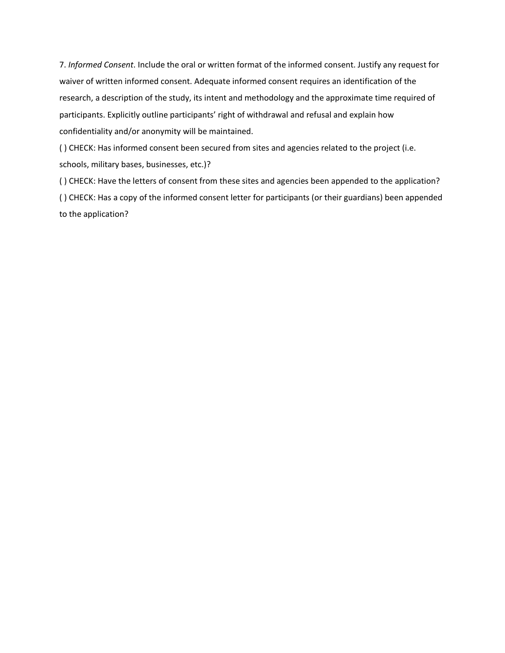7. *Informed Consent*. Include the oral or written format of the informed consent. Justify any request for waiver of written informed consent. Adequate informed consent requires an identification of the research, a description of the study, its intent and methodology and the approximate time required of participants. Explicitly outline participants' right of withdrawal and refusal and explain how confidentiality and/or anonymity will be maintained.

( ) CHECK: Has informed consent been secured from sites and agencies related to the project (i.e. schools, military bases, businesses, etc.)?

( ) CHECK: Have the letters of consent from these sites and agencies been appended to the application? ( ) CHECK: Has a copy of the informed consent letter for participants (or their guardians) been appended to the application?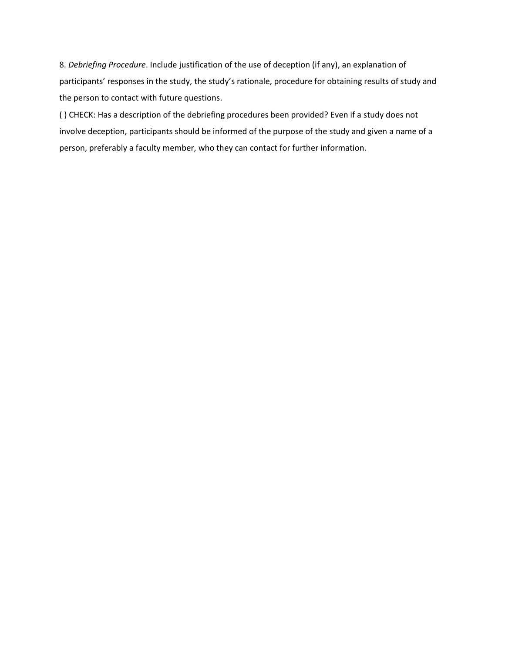8. *Debriefing Procedure*. Include justification of the use of deception (if any), an explanation of participants' responses in the study, the study's rationale, procedure for obtaining results of study and the person to contact with future questions.

( ) CHECK: Has a description of the debriefing procedures been provided? Even if a study does not involve deception, participants should be informed of the purpose of the study and given a name of a person, preferably a faculty member, who they can contact for further information.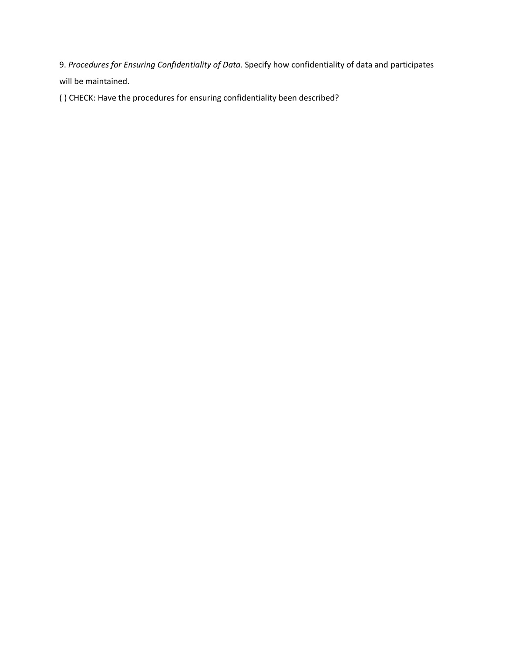9. *Procedures for Ensuring Confidentiality of Data*. Specify how confidentiality of data and participates will be maintained.

( ) CHECK: Have the procedures for ensuring confidentiality been described?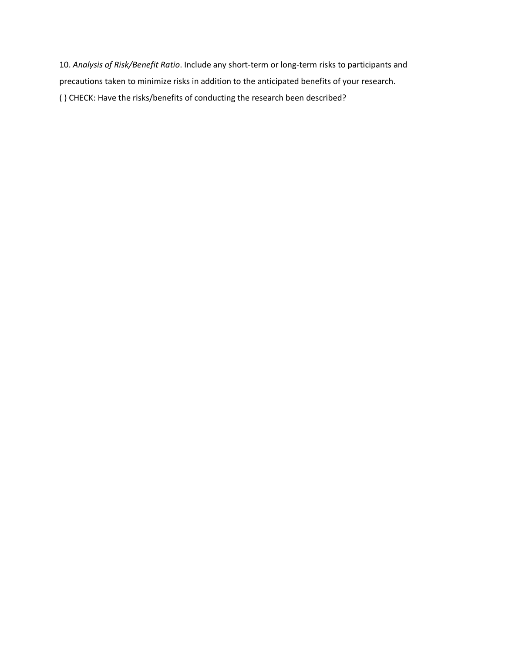10. *Analysis of Risk/Benefit Ratio*. Include any short-term or long-term risks to participants and precautions taken to minimize risks in addition to the anticipated benefits of your research. ( ) CHECK: Have the risks/benefits of conducting the research been described?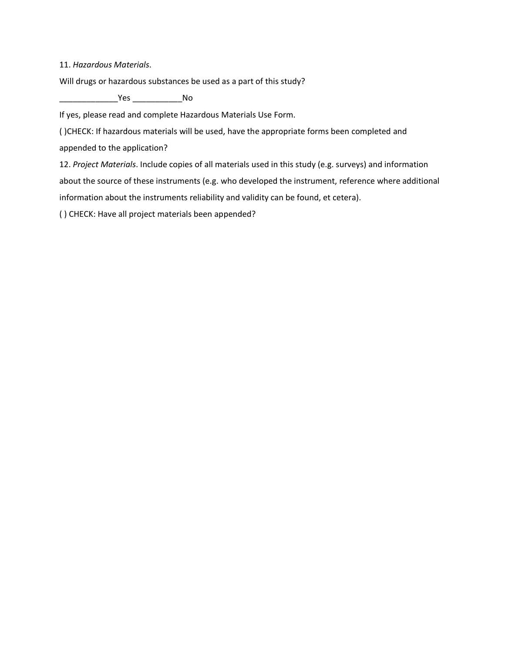11. *Hazardous Materials*.

Will drugs or hazardous substances be used as a part of this study?

\_\_\_\_\_\_\_\_\_\_\_\_\_Yes \_\_\_\_\_\_\_\_\_\_\_No

If yes, please read and complete Hazardous Materials Use Form.

( )CHECK: If hazardous materials will be used, have the appropriate forms been completed and appended to the application?

12. *Project Materials*. Include copies of all materials used in this study (e.g. surveys) and information about the source of these instruments (e.g. who developed the instrument, reference where additional information about the instruments reliability and validity can be found, et cetera).

( ) CHECK: Have all project materials been appended?